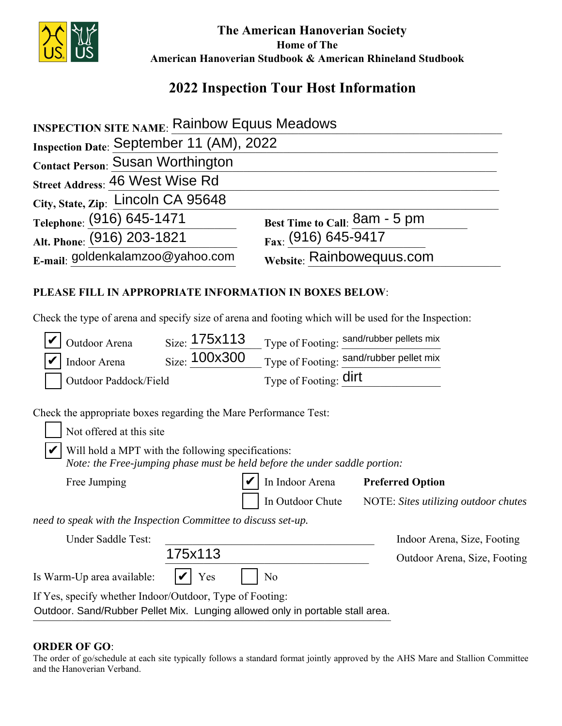

 **The American Hanoverian Society Home of The American Hanoverian Studbook & American Rhineland Studbook**

## **2022 Inspection Tour Host Information**

| <b>INSPECTION SITE NAME: Rainbow Equus Meadows</b>                                                   |               |                                                                            |                                          |  |  |
|------------------------------------------------------------------------------------------------------|---------------|----------------------------------------------------------------------------|------------------------------------------|--|--|
| Inspection Date: September 11 (AM), 2022                                                             |               |                                                                            |                                          |  |  |
| Contact Person: Susan Worthington                                                                    |               |                                                                            |                                          |  |  |
| Street Address: 46 West Wise Rd                                                                      |               |                                                                            |                                          |  |  |
| City, State, Zip: Lincoln CA 95648                                                                   |               |                                                                            |                                          |  |  |
| Telephone: (916) 645-1471                                                                            |               |                                                                            | Best Time to Call: 8am - 5 pm            |  |  |
| Alt. Phone: (916) 203-1821                                                                           |               |                                                                            | Fax: (916) 645-9417                      |  |  |
| E-mail: goldenkalamzoo@yahoo.com                                                                     |               |                                                                            | Website: Rainbowequus.com                |  |  |
| PLEASE FILL IN APPROPRIATE INFORMATION IN BOXES BELOW:                                               |               |                                                                            |                                          |  |  |
| Check the type of arena and specify size of arena and footing which will be used for the Inspection: |               |                                                                            |                                          |  |  |
| Outdoor Arena                                                                                        | Size: 175x113 |                                                                            | Type of Footing: sand/rubber pellets mix |  |  |
| Indoor Arena                                                                                         | Size: 100x300 |                                                                            | Type of Footing: sand/rubber pellet mix  |  |  |
| Outdoor Paddock/Field                                                                                |               |                                                                            | Type of Footing: dirt                    |  |  |
| Check the appropriate boxes regarding the Mare Performance Test:                                     |               |                                                                            |                                          |  |  |
| Not offered at this site                                                                             |               |                                                                            |                                          |  |  |
| Will hold a MPT with the following specifications:                                                   |               | Note: the Free-jumping phase must be held before the under saddle portion: |                                          |  |  |
| Free Jumping                                                                                         |               | In Indoor Arena                                                            | <b>Preferred Option</b>                  |  |  |
|                                                                                                      |               | In Outdoor Chute                                                           | NOTE: Sites utilizing outdoor chutes     |  |  |
| need to speak with the Inspection Committee to discuss set-up.                                       |               |                                                                            |                                          |  |  |
| Under Saddle Test:                                                                                   |               |                                                                            | Indoor Arena, Size, Footing              |  |  |
|                                                                                                      | 175x113       |                                                                            | Outdoor Arena, Size, Footing             |  |  |
| Is Warm-Up area available:                                                                           | Yes           | N <sub>o</sub>                                                             |                                          |  |  |

If Yes, specify whether Indoor/Outdoor, Type of Footing:

Outdoor. Sand/Rubber Pellet Mix. Lunging allowed only in portable stall area.

## **ORDER OF GO**:

The order of go/schedule at each site typically follows a standard format jointly approved by the AHS Mare and Stallion Committee and the Hanoverian Verband.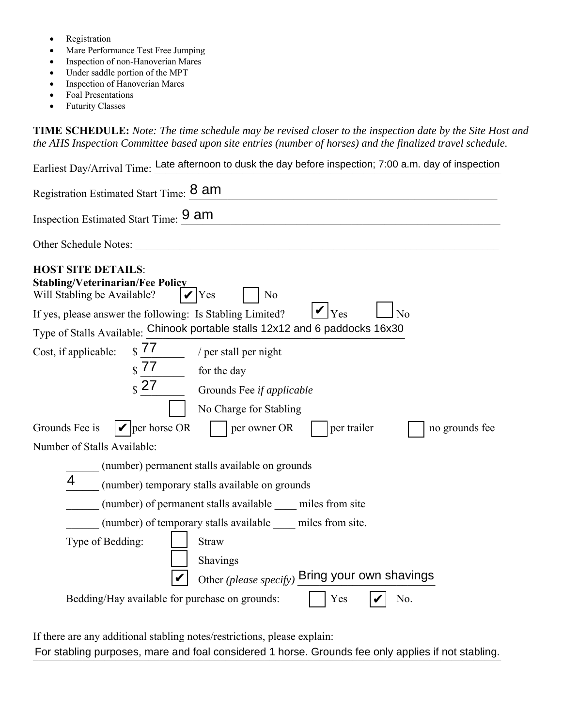- Registration
- Mare Performance Test Free Jumping
- Inspection of non-Hanoverian Mares
- Under saddle portion of the MPT
- Inspection of Hanoverian Mares
- Foal Presentations
- Futurity Classes

**TIME SCHEDULE:** *Note: The time schedule may be revised closer to the inspection date by the Site Host and the AHS Inspection Committee based upon site entries (number of horses) and the finalized travel schedule.* 

Earliest Day/Arrival Time: Late afternoon to dusk the day before inspection; 7:00 a.m. day of inspection

| Registration Estimated Start Time: 8 am                                                                                                                                                                                   |  |  |  |  |
|---------------------------------------------------------------------------------------------------------------------------------------------------------------------------------------------------------------------------|--|--|--|--|
| Inspection Estimated Start Time: 9 am                                                                                                                                                                                     |  |  |  |  |
| Other Schedule Notes: Notes:                                                                                                                                                                                              |  |  |  |  |
| <b>HOST SITE DETAILS:</b><br><b>Stabling/Veterinarian/Fee Policy</b><br>Will Stabling be Available?<br><b>Yes</b><br>N <sub>0</sub><br>Yes<br>If yes, please answer the following: Is Stabling Limited?<br>N <sub>o</sub> |  |  |  |  |
| Type of Stalls Available: Chinook portable stalls 12x12 and 6 paddocks 16x30                                                                                                                                              |  |  |  |  |
| $\sqrt{77}$ / per stall per night<br>Cost, if applicable:<br>$\sqrt{$\frac{77}{2}$}$ for the day<br>$\frac{1}{2}$ 27<br>Grounds Fee if applicable<br>No Charge for Stabling                                               |  |  |  |  |
| $  \mathbf{v}  $ per horse OR<br>Grounds Fee is<br>per owner OR<br>per trailer<br>no grounds fee                                                                                                                          |  |  |  |  |
| Number of Stalls Available:                                                                                                                                                                                               |  |  |  |  |
| (number) permanent stalls available on grounds                                                                                                                                                                            |  |  |  |  |
| 4<br>(number) temporary stalls available on grounds                                                                                                                                                                       |  |  |  |  |
| (number) of permanent stalls available miles from site                                                                                                                                                                    |  |  |  |  |
| (number) of temporary stalls available _____ miles from site.                                                                                                                                                             |  |  |  |  |
| Type of Bedding:<br><b>Straw</b><br>Shavings<br>Other (please specify) Bring your own shavings<br>Bedding/Hay available for purchase on grounds:<br>No.<br>Yes                                                            |  |  |  |  |

If there are any additional stabling notes/restrictions, please explain:

For stabling purposes, mare and foal considered 1 horse. Grounds fee only applies if not stabling.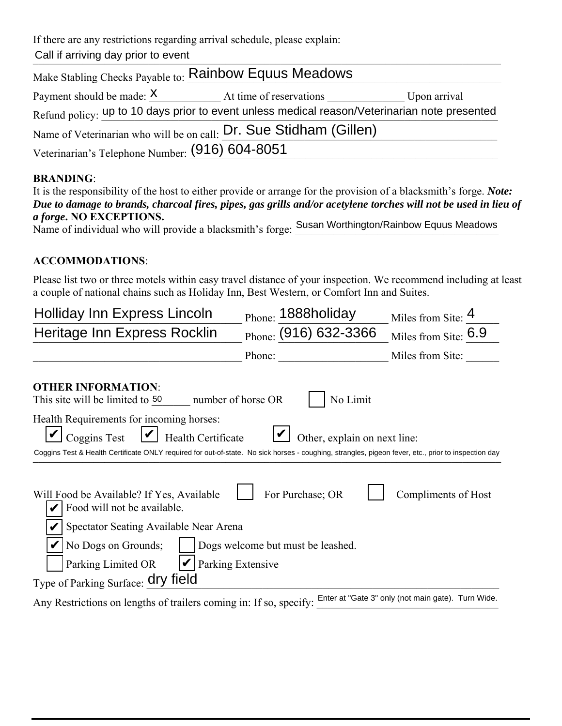If there are any restrictions regarding arrival schedule, please explain:

Call if arriving day prior to event

| Make Stabling Checks Payable to: Rainbow Equus Meadows                                        |                         |              |  |  |  |  |
|-----------------------------------------------------------------------------------------------|-------------------------|--------------|--|--|--|--|
| Payment should be made: $X$                                                                   | At time of reservations | Upon arrival |  |  |  |  |
| Refund policy: up to 10 days prior to event unless medical reason/Veterinarian note presented |                         |              |  |  |  |  |
| Name of Veterinarian who will be on call: Dr. Sue Stidham (Gillen)                            |                         |              |  |  |  |  |
| Veterinarian's Telephone Number: (916) 604-8051                                               |                         |              |  |  |  |  |
|                                                                                               |                         |              |  |  |  |  |

## **BRANDING**:

| It is the responsibility of the host to either provide or arrange for the provision of a blacksmith's forge. Note: |  |
|--------------------------------------------------------------------------------------------------------------------|--|
| Due to damage to brands, charcoal fires, pipes, gas grills and/or acetylene torches will not be used in lieu of    |  |
| <i>a forge.</i> NO EXCEPTIONS.                                                                                     |  |
| Name of individual who will provide a blacksmith's forge: Susan Worthington/Rainbow Equus Meadows                  |  |

## **ACCOMMODATIONS**:

Please list two or three motels within easy travel distance of your inspection. We recommend including at least a couple of national chains such as Holiday Inn, Best Western, or Comfort Inn and Suites.

| Holliday Inn Express Lincoln                                                                                                                        | Phone: 1888holiday                                    | Miles from Site: 4                                 |  |  |  |
|-----------------------------------------------------------------------------------------------------------------------------------------------------|-------------------------------------------------------|----------------------------------------------------|--|--|--|
| Heritage Inn Express Rocklin                                                                                                                        | Phone: (916) 632-3366                                 | Miles from Site: 6.9                               |  |  |  |
|                                                                                                                                                     | Phone:                                                | Miles from Site:                                   |  |  |  |
| <b>OTHER INFORMATION:</b><br>This site will be limited to 50<br>number of horse OR                                                                  | No Limit                                              |                                                    |  |  |  |
| Health Requirements for incoming horses:<br>Coggins Test<br>Health Certificate                                                                      | Other, explain on next line:                          |                                                    |  |  |  |
| Coggins Test & Health Certificate ONLY required for out-of-state. No sick horses - coughing, strangles, pigeon fever, etc., prior to inspection day |                                                       |                                                    |  |  |  |
| Will Food be Available? If Yes, Available<br>Food will not be available.<br>Spectator Seating Available Near Arena<br>No Dogs on Grounds;           | For Purchase; OR<br>Dogs welcome but must be leashed. | Compliments of Host                                |  |  |  |
| Parking Extensive<br>Parking Limited OR                                                                                                             |                                                       |                                                    |  |  |  |
| Type of Parking Surface: dry field                                                                                                                  |                                                       |                                                    |  |  |  |
| Any Restrictions on lengths of trailers coming in: If so, specify:                                                                                  |                                                       | Enter at "Gate 3" only (not main gate). Turn Wide. |  |  |  |